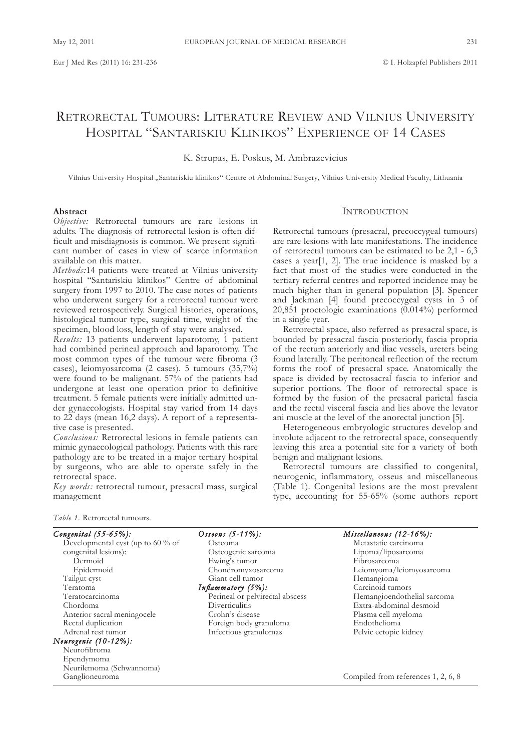# RETRORECTAL TUMOURS: LITERATURE REVIEW AND VILNIUS UNIVERSITY HOSPITAL "SANTARISKIU KLINIKOS" EXPERIENCE OF 14 CASES

k. Strupas, E. Poskus, M. Ambrazevicius

vilnius university Hospital "Santariskiu klinikos" Centre of Abdominal Surgery, vilnius university Medical Faculty, Lithuania

## **Abstract**

*Objective:* Retrorectal tumours are rare lesions in adults. The diagnosis of retrorectal lesion is often difficult and misdiagnosis is common. we present significant number of cases in view of scarce information available on this matter.

*Methods:*14 patients were treated at Vilnius university hospital "Santariskiu klinikos" Centre of abdominal surgery from 1997 to 2010. The case notes of patients who underwent surgery for a retrorectal tumour were reviewed retrospectively. Surgical histories, operations, histological tumour type, surgical time, weight of the specimen, blood loss, length of stay were analysed.

*Results:* 13 patients underwent laparotomy, 1 patient had combined perineal approach and laparotomy. The most common types of the tumour were fibroma (3 cases), leiomyosarcoma (2 cases). 5 tumours (35,7%) were found to be malignant. 57% of the patients had undergone at least one operation prior to definitive treatment. 5 female patients were initially admitted under gynaecologists. Hospital stay varied from 14 days to 22 days (mean 16,2 days). A report of a representative case is presented.

*Conclusions:* Retrorectal lesions in female patients can mimic gynaecological pathology. Patients with this rare pathology are to be treated in a major tertiary hospital by surgeons, who are able to operate safely in the retrorectal space.

*Key words:* retrorectal tumour, presacral mass, surgical management

# **INTRODUCTION**

Retrorectal tumours (presacral, precoccygeal tumours) are rare lesions with late manifestations. The incidence of retrorectal tumours can be estimated to be 2,1 - 6,3 cases a year[1, 2]. The true incidence is masked by a fact that most of the studies were conducted in the tertiary referral centres and reported incidence may be much higher than in general population [3]. Spencer and Jackman [4] found precoccygeal cysts in 3 of 20,851 proctologic examinations (0.014%) performed in a single year.

Retrorectal space, also referred as presacral space, is bounded by presacral fascia posteriorly, fascia propria of the rectum anteriorly and iliac vessels, ureters being found laterally. The peritoneal reflection of the rectum forms the roof of presacral space. Anatomically the space is divided by rectosacral fascia to inferior and superior portions. The floor of retrorectal space is formed by the fusion of the presacral parietal fascia and the rectal visceral fascia and lies above the levator ani muscle at the level of the anorectal junction [5].

Heterogeneous embryologic structures develop and involute adjacent to the retrorectal space, consequently leaving this area a potential site for a variety of both benign and malignant lesions.

Retrorectal tumours are classified to congenital, neurogenic, inflammatory, osseus and miscellaneous (Table 1). Congenital lesions are the most prevalent type, accounting for 55-65% (some authors report

*Table 1.* Retrorectal tumours.

| Congenital $(55-65%)$ :             | Osseous $(5-11\%)$ :            | Miscellaneous $(12-16%)$ :          |
|-------------------------------------|---------------------------------|-------------------------------------|
| Developmental cyst (up to $60\%$ of | Osteoma                         | Metastatic carcinoma                |
| congenital lesions):                | Osteogenic sarcoma              | Lipoma/liposarcoma                  |
| Dermoid                             | Ewing's tumor                   | Fibrosarcoma                        |
| Epidermoid                          | Chondromyxosarcoma              | Leiomyoma/leiomyosarcoma            |
| Tailgut cyst                        | Giant cell tumor                | Hemangioma                          |
| Teratoma                            | Inflammatory $(5\%)$ :          | Carcinoid tumors                    |
| Teratocarcinoma                     | Perineal or pelvirectal abscess | Hemangioendothelial sarcoma         |
| Chordoma                            | Diverticulitis                  | Extra-abdominal desmoid             |
| Anterior sacral meningocele         | Crohn's disease                 | Plasma cell myeloma                 |
| Rectal duplication                  | Foreign body granuloma          | Endothelioma                        |
| Adrenal rest tumor                  | Infectious granulomas           | Pelvic ectopic kidney               |
| Neurogenic (10-12%):                |                                 |                                     |
| Neurofibroma                        |                                 |                                     |
| Ependymoma                          |                                 |                                     |
| Neurilemoma (Schwannoma)            |                                 |                                     |
| Ganglioneuroma                      |                                 | Compiled from references 1, 2, 6, 8 |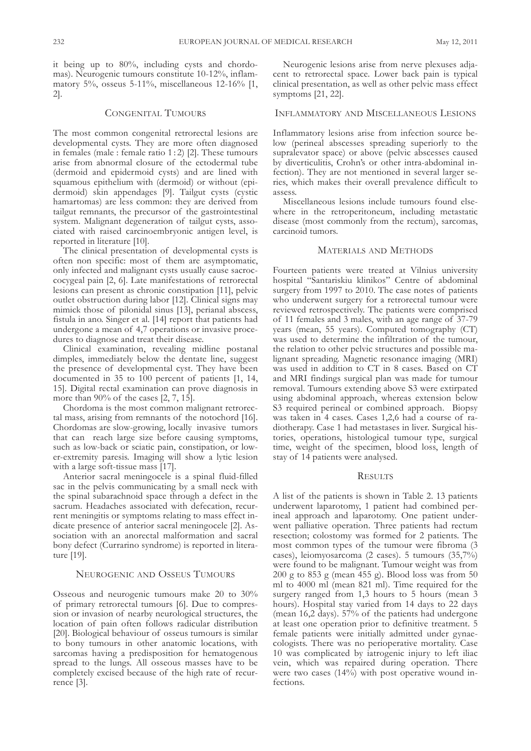it being up to 80%, including cysts and chordomas). Neurogenic tumours constitute 10-12%, inflammatory 5%, osseus 5-11%, miscellaneous 12-16% [1, 2].

## CONGENITAL TuMOuRS

The most common congenital retrorectal lesions are developmental cysts. They are more often diagnosed in females (male : female ratio  $1:2$ ) [2]. These tumours arise from abnormal closure of the ectodermal tube (dermoid and epidermoid cysts) and are lined with squamous epithelium with (dermoid) or without (epidermoid) skin appendages [9]. Tailgut cysts (cystic hamartomas) are less common: they are derived from tailgut remnants, the precursor of the gastrointestinal system. Malignant degeneration of tailgut cysts, associated with raised carcinoembryonic antigen level, is reported in literature [10].

The clinical presentation of developmental cysts is often non specific: most of them are asymptomatic, only infected and malignant cysts usually cause sacroccocygeal pain [2, 6]. Late manifestations of retrorectal lesions can present as chronic constipation [11], pelvic outlet obstruction during labor [12]. Clinical signs may mimick those of pilonidal sinus [13], perianal abscess, fistula in ano. Singer et al. [14] report that patients had undergone a mean of 4,7 operations or invasive procedures to diagnose and treat their disease.

Clinical examination, revealing midline postanal dimples, immediately below the dentate line, suggest the presence of developmental cyst. They have been documented in 35 to 100 percent of patients [1, 14, 15]. Digital rectal examination can prove diagnosis in more than 90% of the cases [2, 7, 15].

Chordoma is the most common malignant retrorectal mass, arising from remnants of the notochord [16]. Chordomas are slow-growing, locally invasive tumors that can reach large size before causing symptoms, such as low-back or sciatic pain, constipation, or lower-extremity paresis. Imaging will show a lytic lesion with a large soft-tissue mass [17].

Anterior sacral meningocele is a spinal fluid-filled sac in the pelvis communicating by a small neck with the spinal subarachnoid space through a defect in the sacrum. Headaches associated with defecation, recurrent meningitis or symptoms relating to mass effect indicate presence of anterior sacral meningocele [2]. Association with an anorectal malformation and sacral bony defect (Currarino syndrome) is reported in literature [19].

#### NEuROGENIC AND OSSEuS TuMOuRS

Osseous and neurogenic tumours make 20 to 30% of primary retrorectal tumours [6]. Due to compression or invasion of nearby neurological structures, the location of pain often follows radicular distribution [20]. Biological behaviour of osseus tumours is similar to bony tumours in other anatomic locations, with sarcomas having a predisposition for hematogenous spread to the lungs. All osseous masses have to be completely excised because of the high rate of recurrence [3].

Neurogenic lesions arise from nerve plexuses adjacent to retrorectal space. Lower back pain is typical clinical presentation, as well as other pelvic mass effect symptoms [21, 22].

# INFLAMMATORy AND MISCELLANEOuS LESIONS

Inflammatory lesions arise from infection source below (perineal abscesses spreading superiorly to the supralevator space) or above (pelvic abscesses caused by diverticulitis, Crohn's or other intra-abdominal infection). They are not mentioned in several larger series, which makes their overall prevalence difficult to assess.

Miscellaneous lesions include tumours found elsewhere in the retroperitoneum, including metastatic disease (most commonly from the rectum), sarcomas, carcinoid tumors.

#### MATERIALS AND METHODS

Fourteen patients were treated at vilnius university hospital "Santariskiu klinikos" Centre of abdominal surgery from 1997 to 2010. The case notes of patients who underwent surgery for a retrorectal tumour were reviewed retrospectively. The patients were comprised of 11 females and 3 males, with an age range of 37-79 years (mean, 55 years). Computed tomography (CT) was used to determine the infiltration of the tumour, the relation to other pelvic structures and possible malignant spreading. Magnetic resonance imaging (MRI) was used in addition to CT in 8 cases. Based on CT and MRI findings surgical plan was made for tumour removal. Tumours extending above S3 were extirpated using abdominal approach, whereas extension below S3 required perineal or combined approach. Biopsy was taken in 4 cases. Cases 1,2,6 had a course of radiotherapy. Case 1 had metastases in liver. Surgical histories, operations, histological tumour type, surgical time, weight of the specimen, blood loss, length of stay of 14 patients were analysed.

#### **RESULTS**

A list of the patients is shown in Table 2. 13 patients underwent laparotomy, 1 patient had combined perineal approach and laparotomy. One patient underwent palliative operation. Three patients had rectum resection; colostomy was formed for 2 patients. The most common types of the tumour were fibroma (3 cases), leiomyosarcoma (2 cases). 5 tumours (35,7%) were found to be malignant. Tumour weight was from 200 g to 853 g (mean 455 g). Blood loss was from 50 ml to 4000 ml (mean 821 ml). Time required for the surgery ranged from 1,3 hours to 5 hours (mean 3 hours). Hospital stay varied from 14 days to 22 days (mean 16,2 days). 57% of the patients had undergone at least one operation prior to definitive treatment. 5 female patients were initially admitted under gynaecologists. There was no perioperative mortality. Case 10 was complicated by iatrogenic injury to left iliac vein, which was repaired during operation. There were two cases (14%) with post operative wound infections.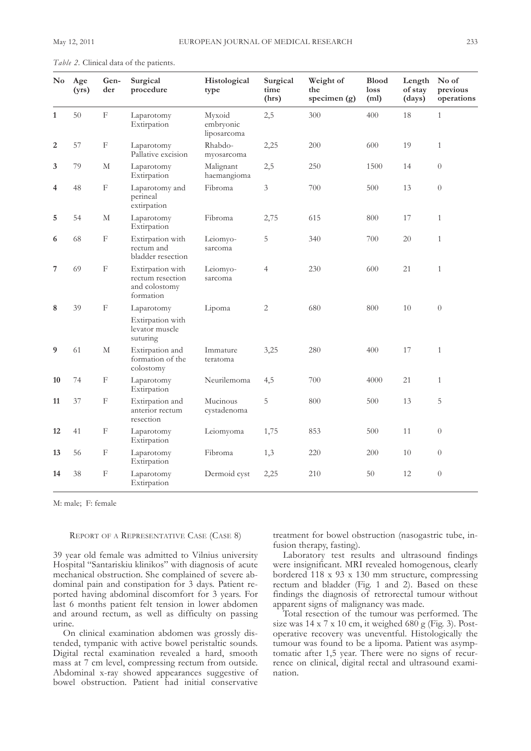| $\bf No$     | Age<br>(yrs) | Gen-<br>der               | Surgical<br>procedure                                              | Histological<br>type               | Surgical<br>time<br>(hrs) | Weight of<br>the<br>specimen (g) | <b>Blood</b><br>loss<br>(m <sub>l</sub> ) | Length<br>of stay<br>(days) | No of<br>previous<br>operations |
|--------------|--------------|---------------------------|--------------------------------------------------------------------|------------------------------------|---------------------------|----------------------------------|-------------------------------------------|-----------------------------|---------------------------------|
| $\mathbf{1}$ | $50\,$       | $\boldsymbol{\mathrm{F}}$ | Laparotomy<br>Extirpation                                          | Myxoid<br>embryonic<br>liposarcoma | 2,5                       | 300                              | 400                                       | 18                          | $\mathbf{1}$                    |
| 2            | 57           | $\boldsymbol{\mathrm{F}}$ | Laparotomy<br>Pallative excision                                   | Rhabdo-<br>myosarcoma              | 2,25                      | 200                              | 600                                       | 19                          | $\mathbf{1}$                    |
| 3            | 79           | M                         | Laparotomy<br>Extirpation                                          | Malignant<br>haemangioma           | 2,5                       | 250                              | 1500                                      | 14                          | $\theta$                        |
| 4            | 48           | $\rm F$                   | Laparotomy and<br>perineal<br>extirpation                          | Fibroma                            | 3                         | 700                              | 500                                       | 13                          | $\theta$                        |
| 5            | 54           | $\mathbf M$               | Laparotomy<br>Extirpation                                          | Fibroma                            | 2,75                      | 615                              | 800                                       | 17                          | $\mathbf{1}$                    |
| 6            | 68           | $\boldsymbol{\mathrm{F}}$ | Extirpation with<br>rectum and<br>bladder resection                | Leiomyo-<br>sarcoma                | 5                         | 340                              | 700                                       | 20                          | $\mathbf{1}$                    |
| 7            | 69           | $\boldsymbol{\mathrm{F}}$ | Extirpation with<br>rectum resection<br>and colostomy<br>formation | Leiomyo-<br>sarcoma                | $\overline{4}$            | 230                              | 600                                       | 21                          | $\mathbf{1}$                    |
| 8            | 39           | $\boldsymbol{\mathrm{F}}$ | Laparotomy<br>Extirpation with<br>levator muscle<br>suturing       | Lipoma                             | 2                         | 680                              | 800                                       | 10                          | $\boldsymbol{0}$                |
| 9            | 61           | $\mathbf M$               | Extirpation and<br>formation of the<br>colostomy                   | Immature<br>teratoma               | 3,25                      | 280                              | 400                                       | 17                          | $\mathbf{1}$                    |
| 10           | 74           | $\boldsymbol{\mathrm{F}}$ | Laparotomy<br>Extirpation                                          | Neurilemoma                        | 4,5                       | 700                              | 4000                                      | 21                          | $\mathbf{1}$                    |
| 11           | 37           | $\boldsymbol{\mathrm{F}}$ | Extirpation and<br>anterior rectum<br>resection                    | Mucinous<br>cystadenoma            | 5                         | 800                              | 500                                       | 13                          | 5                               |
| 12           | 41           | F                         | Laparotomy<br>Extirpation                                          | Leiomyoma                          | 1,75                      | 853                              | 500                                       | 11                          | $\theta$                        |
| 13           | 56           | $\boldsymbol{\mathrm{F}}$ | Laparotomy<br>Extirpation                                          | Fibroma                            | 1,3                       | 220                              | 200                                       | 10                          | $\overline{0}$                  |
| 14           | 38           | $\boldsymbol{\mathrm{F}}$ | Laparotomy<br>Extirpation                                          | Dermoid cyst                       | 2,25                      | 210                              | 50                                        | 12                          | $\theta$                        |

*Table 2.* Clinical data of the patients.

M: male; F: female

# REPORT OF A REPRESENTATIvE CASE (CASE 8)

39 year old female was admitted to vilnius university Hospital "Santariskiu klinikos" with diagnosis of acute mechanical obstruction. She complained of severe abdominal pain and constipation for 3 days. Patient reported having abdominal discomfort for 3 years. For last 6 months patient felt tension in lower abdomen and around rectum, as well as difficulty on passing urine.

On clinical examination abdomen was grossly distended, tympanic with active bowel peristaltic sounds. Digital rectal examination revealed a hard, smooth mass at 7 cm level, compressing rectum from outside. Abdominal x-ray showed appearances suggestive of bowel obstruction. Patient had initial conservative

treatment for bowel obstruction (nasogastric tube, infusion therapy, fasting).

Laboratory test results and ultrasound findings were insignificant. MRI revealed homogenous, clearly bordered 118 x 93 x 130 mm structure, compressing rectum and bladder (Fig. 1 and 2). Based on these findings the diagnosis of retrorectal tumour without apparent signs of malignancy was made.

Total resection of the tumour was performed. The size was  $14 \times 7 \times 10$  cm, it weighed  $680$  g (Fig. 3). Postoperative recovery was uneventful. Histologically the tumour was found to be a lipoma. Patient was asymptomatic after 1,5 year. There were no signs of recurrence on clinical, digital rectal and ultrasound examination.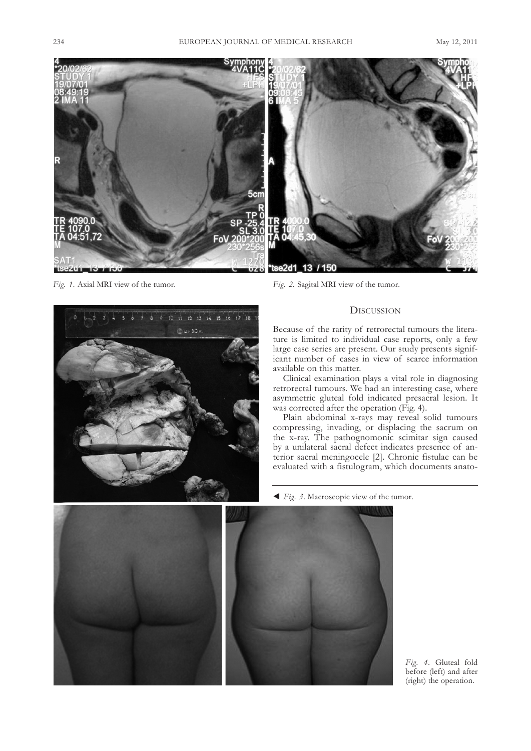

*Fig. 1.* Axial MRI view of the tumor. *Fig. 2.* Sagital MRI view of the tumor.

# **DISCUSSION**

Because of the rarity of retrorectal tumours the literature is limited to individual case reports, only a few large case series are present. Our study presents significant number of cases in view of scarce information available on this matter.

Clinical examination plays a vital role in diagnosing retrorectal tumours. we had an interesting case, where asymmetric gluteal fold indicated presacral lesion. It was corrected after the operation (Fig. 4).

Plain abdominal x-rays may reveal solid tumours compressing, invading, or displacing the sacrum on the x-ray. The pathognomonic scimitar sign caused by a unilateral sacral defect indicates presence of anterior sacral meningocele [2]. Chronic fistulae can be evaluated with a fistulogram, which documents anato-

*Fig. 3*. Macroscopic view of the tumor.



0 10 11 12 13 14 15 16 17 18

@ 4.30 x

*Fig. 4.* Gluteal fold before (left) and after (right) the operation.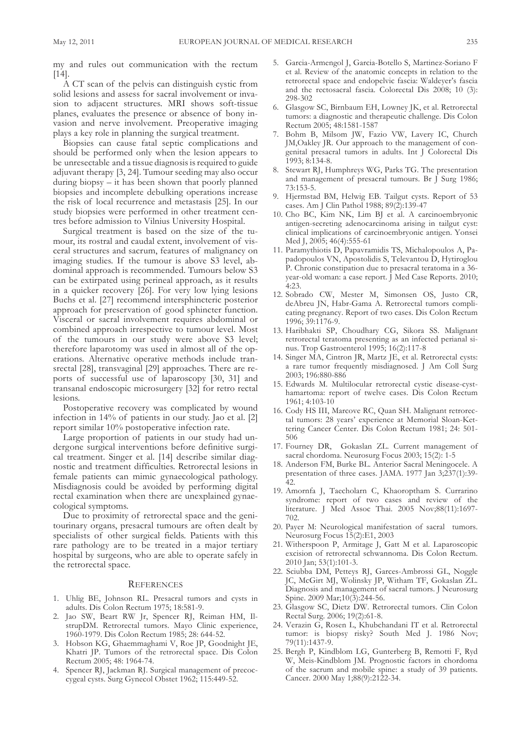my and rules out communication with the rectum  $[14]$ .

A CT scan of the pelvis can distinguish cystic from solid lesions and assess for sacral involvement or invasion to adjacent structures. MRI shows soft-tissue planes, evaluates the presence or absence of bony invasion and nerve involvement. Preoperative imaging plays a key role in planning the surgical treatment.

Biopsies can cause fatal septic complications and should be performed only when the lesion appears to be unresectable and a tissue diagnosis is required to guide adjuvant therapy [3, 24]. Tumour seeding may also occur during biopsy – it has been shown that poorly planned biopsies and incomplete debulking operations increase the risk of local recurrence and metastasis [25]. In our study biopsies were performed in other treatment centres before admission to Vilnius University Hospital.

Surgical treatment is based on the size of the tumour, its rostral and caudal extent, involvement of visceral structures and sacrum, features of malignancy on imaging studies. If the tumour is above S3 level, abdominal approach is recommended. Tumours below S3 can be extirpated using perineal approach, as it results in a quicker recovery [26]. For very low lying lesions Buchs et al. [27] recommend intersphincteric posterior approach for preservation of good sphincter function. visceral or sacral involvement requires abdominal or combined approach irrespective to tumour level. Most of the tumours in our study were above S3 level; therefore laparotomy was used in almost all of the operations. Alternative operative methods include transrectal [28], transvaginal [29] approaches. There are reports of successful use of laparoscopy [30, 31] and transanal endoscopic microsurgery [32] for retro rectal lesions.

Postoperative recovery was complicated by wound infection in 14% of patients in our study. Jao et al. [2] report similar 10% postoperative infection rate.

Large proportion of patients in our study had undergone surgical interventions before definitive surgical treatment. Singer et al. [14] describe similar diagnostic and treatment difficulties. Retrorectal lesions in female patients can mimic gynaecological pathology. Misdiagnosis could be avoided by performing digital rectal examination when there are unexplained gynaecological symptoms.

Due to proximity of retrorectal space and the genitourinary organs, presacral tumours are often dealt by specialists of other surgical fields. Patients with this rare pathology are to be treated in a major tertiary hospital by surgeons, who are able to operate safely in the retrorectal space.

#### **REFERENCES**

- 1. uhlig BE, Johnson RL. Presacral tumors and cysts in adults. Dis Colon Rectum 1975; 18:581-9.
- 2. Jao Sw, Beart Rw Jr, Spencer RJ, Reiman HM, IlstrupDM. Retrorectal tumors. Mayo Clinic experience, 1960-1979. Dis Colon Rectum 1985; 28: 644-52.
- 3. Hobson kG, Ghaemmaghami v, Roe JP, Goodnight JE, khatri JP. Tumors of the retrorectal space. Dis Colon Rectum 2005; 48: 1964-74.
- 4. Spencer RJ, Jackman RJ. Surgical management of precoccygeal cysts. Surg Gynecol Obstet 1962; 115:449-52.
- 5. Garcia-Armengol J, Garcia-Botello S, Martinez-Soriano F et al. Review of the anatomic concepts in relation to the retrorectal space and endopelvic fascia: waldeyer's fascia and the rectosacral fascia. Colorectal Dis 2008; 10 (3): 298-302
- 6. Glasgow SC, Birnbaum EH, Lowney Jk, et al. Retrorectal tumors: a diagnostic and therapeutic challenge. Dis Colon Rectum 2005; 48:1581-1587
- 7. Bohm B, Milsom Jw, Fazio vw, Lavery IC, Church JM,Oakley JR. Our approach to the management of congenital presacral tumors in adults. Int J Colorectal Dis 1993; 8:134-8.
- 8. Stewart RJ, Humphreys wG, Parks TG. The presentation and management of presacral tumours. Br J Surg 1986; 73:153-5.
- 9. Hjermstad BM, Helwig EB. Tailgut cysts. Report of 53 cases. Am J Clin Pathol 1988; 89(2):139-47
- 10. Cho BC, kim Nk, Lim BJ et al. A carcinoembryonic antigen-secreting adenocarcinoma arising in tailgut cyst: clinical implications of carcinoembryonic antigen. yonsei Med J, 2005; 46(4):555-61
- 11. Paramythiotis D, Papavramidis TS, Michalopoulos A, Papadopoulos vN, Apostolidis S, Televantou D, Hytiroglou P. Chronic constipation due to presacral teratoma in a 36 year-old woman: a case report. J Med Case Reports. 2010; 4:23.
- 12. Sobrado Cw, Mester M, Simonsen OS, Justo CR, deAbreu JN, Habr-Gama A. Retrorectal tumors complicating pregnancy. Report of two cases. Dis Colon Rectum 1996; 39:1176-9.
- 13. Haribhakti SP, Choudhary CG, Sikora SS. Malignant retrorectal teratoma presenting as an infected perianal sinus. Trop Gastroenterol 1995; 16(2):117-8
- 14. Singer MA, Cintron JR, Martz JE, et al. Retrorectal cysts: a rare tumor frequently misdiagnosed. J Am Coll Surg 2003; 196:880-886
- 15. Edwards M. Multilocular retrorectal cystic disease-cysthamartoma: report of twelve cases. Dis Colon Rectum 1961; 4:103-10
- 16. Cody HS III, Marcove RC, Quan SH. Malignant retrorectal tumors: 28 years' experience at Memorial Sloan-kettering Cancer Center. Dis Colon Rectum 1981; 24: 501- 506
- 17. Fourney DR, Gokaslan ZL. Current management of sacral chordoma. Neurosurg Focus 2003; 15(2): 1-5
- 18. Anderson FM, Burke BL. Anterior Sacral Meningocele. A presentation of three cases. JAMA. 1977 Jan 3;237(1):39- 42.
- 19. Amornfa J, Taecholarn C, khaoroptham S. Currarino syndrome: report of two cases and review of the literature. J Med Assoc Thai. 2005 Nov;88(11):1697- 702.
- 20. Payer M: Neurological manifestation of sacral tumors. Neurosurg Focus 15(2):E1, 2003
- 21. witherspoon P, Armitage J, Gatt M et al. Laparoscopic excision of retrorectal schwannoma. Dis Colon Rectum. 2010 Jan; 53(1):101-3.
- 22. Sciubba DM, Petteys RJ, Garces-Ambrossi GL, Noggle JC, McGirt MJ, wolinsky JP, witham TF, Gokaslan ZL. Diagnosis and management of sacral tumors. J Neurosurg Spine. 2009 Mar;10(3):244-56.
- 23. Glasgow SC, Dietz Dw. Retrorectal tumors. Clin Colon Rectal Surg. 2006; 19(2):61-8.
- 24. verazin G, Rosen L, khubchandani IT et al. Retrorectal tumor: is biopsy risky? South Med J. 1986 Nov; 79(11):1437-9.
- 25. Bergh P, kindblom LG, Gunterberg B, Remotti F, Ryd w, Meis-kindblom JM. Prognostic factors in chordoma of the sacrum and mobile spine: a study of 39 patients. Cancer. 2000 May 1;88(9):2122-34.